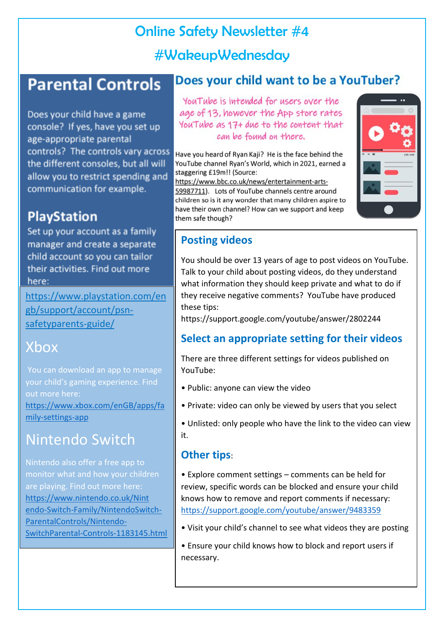## Online Safety Newsletter #4 #WakeupWednesday

## **Parental Controls**

Does your child have a game console? If yes, have you set up age-appropriate parental controls? The controls vary across the different consoles, but all will allow you to restrict spending and communication for example.

## **PlayStation**

Set up your account as a family manager and create a separate child account so you can tailor their activities. Find out more here:

[https://www.playstation.com/en](https://www.playstation.com/engb/support/account/psn-safetyparents-guide/) [gb/support/account/psn](https://www.playstation.com/engb/support/account/psn-safetyparents-guide/)[safetyparents-guide/](https://www.playstation.com/engb/support/account/psn-safetyparents-guide/) 

## Xbox

You can download an app to manage your child's gaming experience. Find out more here: [https://www.xbox.com/enGB/apps/fa](https://www.xbox.com/enGB/apps/family-settings-app) [mily-settings-app](https://www.xbox.com/enGB/apps/family-settings-app) 

## Nintendo Switch

Nintendo also offer a free app to monitor what and how your children are playing. Find out more here: [https://www.nintendo.co.uk/Nint](https://www.nintendo.co.uk/Nint%20endo-Switch-Family/NintendoSwitch-ParentalControls/Nintendo-SwitchParental-Controls-1183145.html)  [endo-Switch-Family/NintendoSwitch-](https://www.nintendo.co.uk/Nint%20endo-Switch-Family/NintendoSwitch-ParentalControls/Nintendo-SwitchParental-Controls-1183145.html)[ParentalControls/Nintendo-](https://www.nintendo.co.uk/Nint%20endo-Switch-Family/NintendoSwitch-ParentalControls/Nintendo-SwitchParental-Controls-1183145.html)[SwitchParental-Controls-1183145.html](https://www.nintendo.co.uk/Nint%20endo-Switch-Family/NintendoSwitch-ParentalControls/Nintendo-SwitchParental-Controls-1183145.html) 

#### Does your child want to be a YouTuber?

You Tube is intended for users over the age of 13, however the App store rates YouTube as 17+ due to the content that can be found on there.

Have you heard of Ryan Kaji? He is the face behind the YouTube channel Ryan's World, which in 2021, earned a staggering £19m!! (Source:

https://www.bbc.co.uk/news/entertainment-arts-59987711). Lots of YouTube channels centre around children so is it any wonder that many children aspire to have their own channel? How can we support and keep them safe though?



#### **Posting videos**

You should be over 13 years of age to post videos on YouTube. Talk to your child about posting videos, do they understand what information they should keep private and what to do if they receive negative comments? YouTube have produced these tips:

https://support.google.com/youtube/answer/2802244

#### **Select an appropriate setting for their videos**

There are three different settings for videos published on YouTube:

- Public: anyone can view the video
- Private: video can only be viewed by users that you select
- Unlisted: only people who have the link to the video can view it.

#### **Other tips**:

• Explore comment settings – comments can be held for review, specific words can be blocked and ensure your child knows how to remove and report comments if necessary: <https://support.google.com/youtube/answer/9483359>

• Visit your child's channel to see what videos they are posting

• Ensure your child knows how to block and report users if necessary.